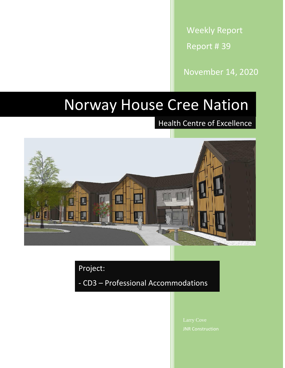Weekly Report Report # 39

November 14, 2020

## Norway House Cree Nation

Health Centre of Excellence



Project:

- CD3 – Professional Accommodations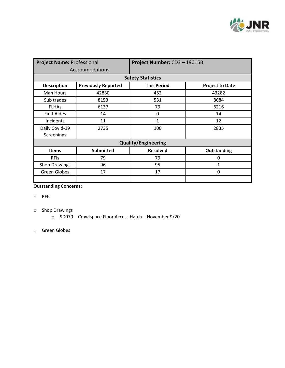

| <b>Project Name: Professional</b> |                            | Project Number: CD3-19015B |                        |  |
|-----------------------------------|----------------------------|----------------------------|------------------------|--|
| Accommodations                    |                            |                            |                        |  |
| <b>Safety Statistics</b>          |                            |                            |                        |  |
| <b>Description</b>                | <b>Previously Reported</b> | <b>This Period</b>         | <b>Project to Date</b> |  |
| Man Hours                         | 42830                      | 452                        | 43282                  |  |
| Sub trades                        | 8153                       | 531                        | 8684                   |  |
| <b>FLHAs</b>                      | 6137                       | 79                         | 6216                   |  |
| <b>First Aides</b>                | 14                         | 0                          | 14                     |  |
| Incidents                         | 11                         | $\mathbf{1}$               | 12                     |  |
| Daily Covid-19                    | 2735                       | 100                        | 2835                   |  |
| Screenings                        |                            |                            |                        |  |
| <b>Quality/Engineering</b>        |                            |                            |                        |  |
| <b>Items</b>                      | <b>Submitted</b>           | <b>Resolved</b>            | Outstanding            |  |
| <b>RFIS</b>                       | 79                         | 79                         | 0                      |  |
| <b>Shop Drawings</b>              | 96                         | 95                         | $\mathbf{1}$           |  |
| Green Globes                      | 17                         | 17                         | 0                      |  |
|                                   |                            |                            |                        |  |

## **Outstanding Concerns:**

- o RFIs
- o Shop Drawings
	- o SD079 Crawlspace Floor Access Hatch November 9/20
- o Green Globes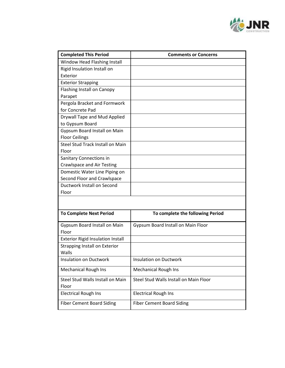

| <b>Completed This Period</b>             | <b>Comments or Concerns</b>            |  |
|------------------------------------------|----------------------------------------|--|
| Window Head Flashing Install             |                                        |  |
| Rigid Insulation Install on              |                                        |  |
| Exterior                                 |                                        |  |
| <b>Exterior Strapping</b>                |                                        |  |
| <b>Flashing Install on Canopy</b>        |                                        |  |
| Parapet                                  |                                        |  |
| Pergola Bracket and Formwork             |                                        |  |
| for Concrete Pad                         |                                        |  |
| Drywall Tape and Mud Applied             |                                        |  |
| to Gypsum Board                          |                                        |  |
| Gypsum Board Install on Main             |                                        |  |
| <b>Floor Ceilings</b>                    |                                        |  |
| Steel Stud Track Install on Main         |                                        |  |
| Floor                                    |                                        |  |
| Sanitary Connections in                  |                                        |  |
| <b>Crawlspace and Air Testing</b>        |                                        |  |
| Domestic Water Line Piping on            |                                        |  |
| Second Floor and Crawlspace              |                                        |  |
| Ductwork Install on Second               |                                        |  |
| Floor                                    |                                        |  |
|                                          |                                        |  |
| <b>To Complete Next Period</b>           | To complete the following Period       |  |
| Gypsum Board Install on Main<br>Floor    | Gypsum Board Install on Main Floor     |  |
| <b>Exterior Rigid Insulation Install</b> |                                        |  |
| <b>Strapping Install on Exterior</b>     |                                        |  |
| Walls                                    |                                        |  |
| <b>Insulation on Ductwork</b>            | <b>Insulation on Ductwork</b>          |  |
| <b>Mechanical Rough Ins</b>              | <b>Mechanical Rough Ins</b>            |  |
| Steel Stud Walls Install on Main         | Steel Stud Walls Install on Main Floor |  |
| Floor                                    |                                        |  |
| <b>Electrical Rough Ins</b>              | <b>Electrical Rough Ins</b>            |  |
| <b>Fiber Cement Board Siding</b>         | <b>Fiber Cement Board Siding</b>       |  |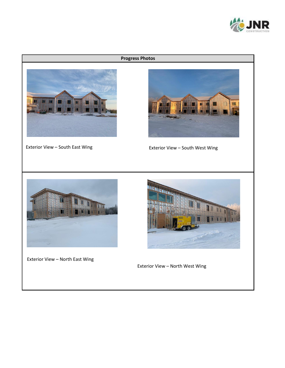

## **Progress Photos**





Exterior View – South East Wing exterior View – South West Wing



Exterior View – North East Wing



Exterior View – North West Wing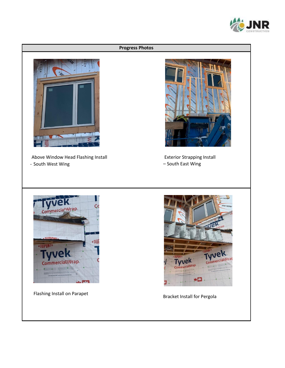



Bracket Install for Pergola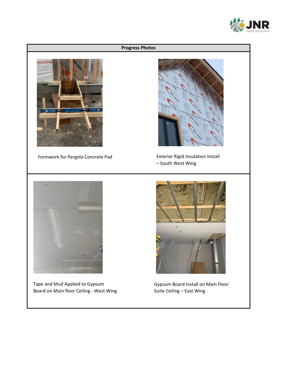

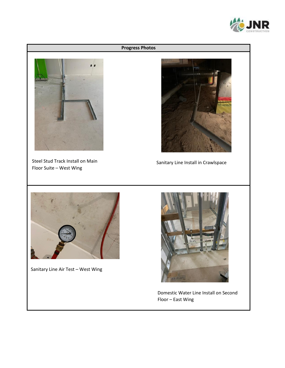